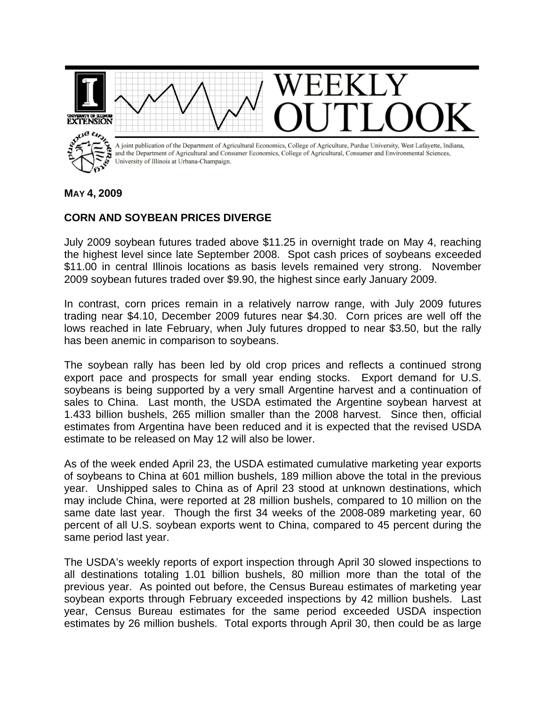

## **MAY 4, 2009**

## **CORN AND SOYBEAN PRICES DIVERGE**

July 2009 soybean futures traded above \$11.25 in overnight trade on May 4, reaching the highest level since late September 2008. Spot cash prices of soybeans exceeded \$11.00 in central Illinois locations as basis levels remained very strong. November 2009 soybean futures traded over \$9.90, the highest since early January 2009.

In contrast, corn prices remain in a relatively narrow range, with July 2009 futures trading near \$4.10, December 2009 futures near \$4.30. Corn prices are well off the lows reached in late February, when July futures dropped to near \$3.50, but the rally has been anemic in comparison to soybeans.

The soybean rally has been led by old crop prices and reflects a continued strong export pace and prospects for small year ending stocks. Export demand for U.S. soybeans is being supported by a very small Argentine harvest and a continuation of sales to China. Last month, the USDA estimated the Argentine soybean harvest at 1.433 billion bushels, 265 million smaller than the 2008 harvest. Since then, official estimates from Argentina have been reduced and it is expected that the revised USDA estimate to be released on May 12 will also be lower.

As of the week ended April 23, the USDA estimated cumulative marketing year exports of soybeans to China at 601 million bushels, 189 million above the total in the previous year. Unshipped sales to China as of April 23 stood at unknown destinations, which may include China, were reported at 28 million bushels, compared to 10 million on the same date last year. Though the first 34 weeks of the 2008-089 marketing year, 60 percent of all U.S. soybean exports went to China, compared to 45 percent during the same period last year.

The USDA's weekly reports of export inspection through April 30 slowed inspections to all destinations totaling 1.01 billion bushels, 80 million more than the total of the previous year. As pointed out before, the Census Bureau estimates of marketing year soybean exports through February exceeded inspections by 42 million bushels. Last year, Census Bureau estimates for the same period exceeded USDA inspection estimates by 26 million bushels. Total exports through April 30, then could be as large